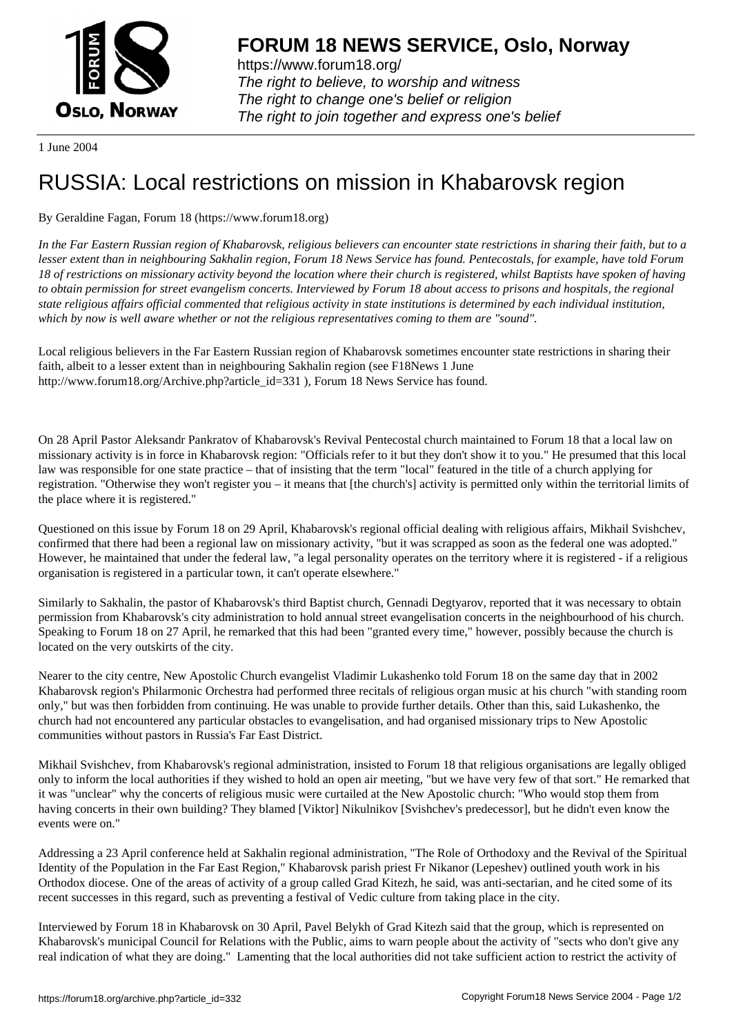

https://www.forum18.org/ The right to believe, to worship and witness The right to change one's belief or religion [The right to join together a](https://www.forum18.org/)nd express one's belief

1 June 2004

## [RUSSIA: Local](https://www.forum18.org) restrictions on mission in Khabarovsk region

## By Geraldine Fagan, Forum 18 (https://www.forum18.org)

*In the Far Eastern Russian region of Khabarovsk, religious believers can encounter state restrictions in sharing their faith, but to a lesser extent than in neighbouring Sakhalin region, Forum 18 News Service has found. Pentecostals, for example, have told Forum 18 of restrictions on missionary activity beyond the location where their church is registered, whilst Baptists have spoken of having to obtain permission for street evangelism concerts. Interviewed by Forum 18 about access to prisons and hospitals, the regional state religious affairs official commented that religious activity in state institutions is determined by each individual institution, which by now is well aware whether or not the religious representatives coming to them are "sound".*

Local religious believers in the Far Eastern Russian region of Khabarovsk sometimes encounter state restrictions in sharing their faith, albeit to a lesser extent than in neighbouring Sakhalin region (see F18News 1 June http://www.forum18.org/Archive.php?article\_id=331 ), Forum 18 News Service has found.

On 28 April Pastor Aleksandr Pankratov of Khabarovsk's Revival Pentecostal church maintained to Forum 18 that a local law on missionary activity is in force in Khabarovsk region: "Officials refer to it but they don't show it to you." He presumed that this local law was responsible for one state practice – that of insisting that the term "local" featured in the title of a church applying for registration. "Otherwise they won't register you – it means that [the church's] activity is permitted only within the territorial limits of the place where it is registered."

Questioned on this issue by Forum 18 on 29 April, Khabarovsk's regional official dealing with religious affairs, Mikhail Svishchev, confirmed that there had been a regional law on missionary activity, "but it was scrapped as soon as the federal one was adopted." However, he maintained that under the federal law, "a legal personality operates on the territory where it is registered - if a religious organisation is registered in a particular town, it can't operate elsewhere."

Similarly to Sakhalin, the pastor of Khabarovsk's third Baptist church, Gennadi Degtyarov, reported that it was necessary to obtain permission from Khabarovsk's city administration to hold annual street evangelisation concerts in the neighbourhood of his church. Speaking to Forum 18 on 27 April, he remarked that this had been "granted every time," however, possibly because the church is located on the very outskirts of the city.

Nearer to the city centre, New Apostolic Church evangelist Vladimir Lukashenko told Forum 18 on the same day that in 2002 Khabarovsk region's Philarmonic Orchestra had performed three recitals of religious organ music at his church "with standing room only," but was then forbidden from continuing. He was unable to provide further details. Other than this, said Lukashenko, the church had not encountered any particular obstacles to evangelisation, and had organised missionary trips to New Apostolic communities without pastors in Russia's Far East District.

Mikhail Svishchev, from Khabarovsk's regional administration, insisted to Forum 18 that religious organisations are legally obliged only to inform the local authorities if they wished to hold an open air meeting, "but we have very few of that sort." He remarked that it was "unclear" why the concerts of religious music were curtailed at the New Apostolic church: "Who would stop them from having concerts in their own building? They blamed [Viktor] Nikulnikov [Svishchev's predecessor], but he didn't even know the events were on."

Addressing a 23 April conference held at Sakhalin regional administration, "The Role of Orthodoxy and the Revival of the Spiritual Identity of the Population in the Far East Region," Khabarovsk parish priest Fr Nikanor (Lepeshev) outlined youth work in his Orthodox diocese. One of the areas of activity of a group called Grad Kitezh, he said, was anti-sectarian, and he cited some of its recent successes in this regard, such as preventing a festival of Vedic culture from taking place in the city.

Interviewed by Forum 18 in Khabarovsk on 30 April, Pavel Belykh of Grad Kitezh said that the group, which is represented on Khabarovsk's municipal Council for Relations with the Public, aims to warn people about the activity of "sects who don't give any real indication of what they are doing." Lamenting that the local authorities did not take sufficient action to restrict the activity of